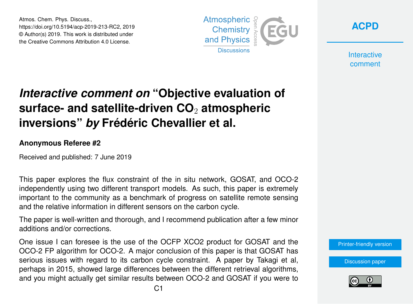Atmos. Chem. Phys. Discuss., https://doi.org/10.5194/acp-2019-213-RC2, 2019 © Author(s) 2019. This work is distributed under the Creative Commons Attribution 4.0 License.



**[ACPD](https://www.atmos-chem-phys-discuss.net/)**

**Interactive** comment

## *Interactive comment on* **"Objective evaluation of surface- and satellite-driven CO**<sup>2</sup> **atmospheric inversions"** *by* **Frédéric Chevallier et al.**

## **Anonymous Referee #2**

Received and published: 7 June 2019

This paper explores the flux constraint of the in situ network, GOSAT, and OCO-2 independently using two different transport models. As such, this paper is extremely important to the community as a benchmark of progress on satellite remote sensing and the relative information in different sensors on the carbon cycle.

The paper is well-written and thorough, and I recommend publication after a few minor additions and/or corrections.

One issue I can foresee is the use of the OCFP XCO2 product for GOSAT and the OCO-2 FP algorithm for OCO-2. A major conclusion of this paper is that GOSAT has serious issues with regard to its carbon cycle constraint. A paper by Takagi et al, perhaps in 2015, showed large differences between the different retrieval algorithms, and you might actually get similar results between OCO-2 and GOSAT if you were to

[Printer-friendly version](https://www.atmos-chem-phys-discuss.net/acp-2019-213/acp-2019-213-RC2-print.pdf)

[Discussion paper](https://www.atmos-chem-phys-discuss.net/acp-2019-213)